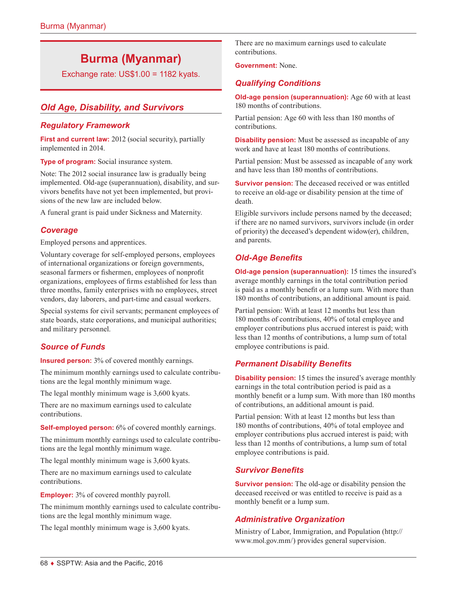# **Burma (Myanmar)**

Exchange rate: US\$1.00 = 1182 kyats.

# *Old Age, Disability, and Survivors*

## *Regulatory Framework*

**First and current law:** 2012 (social security), partially implemented in 2014.

**Type of program:** Social insurance system.

Note: The 2012 social insurance law is gradually being implemented. Old-age (superannuation), disability, and survivors benefits have not yet been implemented, but provisions of the new law are included below.

A funeral grant is paid under Sickness and Maternity.

## *Coverage*

Employed persons and apprentices.

Voluntary coverage for self-employed persons, employees of international organizations or foreign governments, seasonal farmers or fishermen, employees of nonprofit organizations, employees of firms established for less than three months, family enterprises with no employees, street vendors, day laborers, and part-time and casual workers.

Special systems for civil servants; permanent employees of state boards, state corporations, and municipal authorities; and military personnel.

## *Source of Funds*

**Insured person:** 3% of covered monthly earnings.

The minimum monthly earnings used to calculate contributions are the legal monthly minimum wage.

The legal monthly minimum wage is 3,600 kyats.

There are no maximum earnings used to calculate contributions.

**Self-employed person:** 6% of covered monthly earnings.

The minimum monthly earnings used to calculate contributions are the legal monthly minimum wage.

The legal monthly minimum wage is 3,600 kyats.

There are no maximum earnings used to calculate contributions.

**Employer:** 3% of covered monthly payroll.

The minimum monthly earnings used to calculate contributions are the legal monthly minimum wage.

The legal monthly minimum wage is 3,600 kyats.

There are no maximum earnings used to calculate contributions.

**Government:** None.

## *Qualifying Conditions*

**Old-age pension (superannuation):** Age 60 with at least 180 months of contributions.

Partial pension: Age 60 with less than 180 months of contributions.

**Disability pension:** Must be assessed as incapable of any work and have at least 180 months of contributions.

Partial pension: Must be assessed as incapable of any work and have less than 180 months of contributions.

**Survivor pension:** The deceased received or was entitled to receive an old-age or disability pension at the time of death.

Eligible survivors include persons named by the deceased; if there are no named survivors, survivors include (in order of priority) the deceased's dependent widow(er), children, and parents.

# *Old-Age Benefits*

**Old-age pension (superannuation):** 15 times the insured's average monthly earnings in the total contribution period is paid as a monthly benefit or a lump sum. With more than 180 months of contributions, an additional amount is paid.

Partial pension: With at least 12 months but less than 180 months of contributions, 40% of total employee and employer contributions plus accrued interest is paid; with less than 12 months of contributions, a lump sum of total employee contributions is paid.

## *Permanent Disability Benefits*

**Disability pension:** 15 times the insured's average monthly earnings in the total contribution period is paid as a monthly benefit or a lump sum. With more than 180 months of contributions, an additional amount is paid.

Partial pension: With at least 12 months but less than 180 months of contributions, 40% of total employee and employer contributions plus accrued interest is paid; with less than 12 months of contributions, a lump sum of total employee contributions is paid.

## *Survivor Benefits*

**Survivor pension:** The old-age or disability pension the deceased received or was entitled to receive is paid as a monthly benefit or a lump sum.

## *Administrative Organization*

Ministry of Labor, Immigration, and Population ([http://](http://www.mol.gov.mm/) [www.mol.gov.mm/](http://www.mol.gov.mm/)) provides general supervision.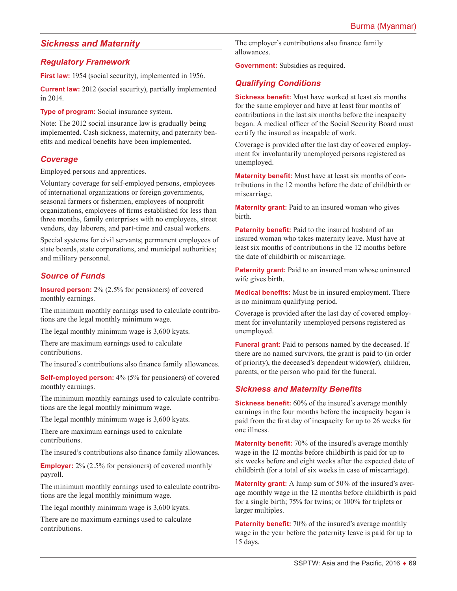# *Sickness and Maternity*

#### *Regulatory Framework*

**First law:** 1954 (social security), implemented in 1956.

**Current law:** 2012 (social security), partially implemented in 2014.

**Type of program:** Social insurance system.

Note: The 2012 social insurance law is gradually being implemented. Cash sickness, maternity, and paternity benefits and medical benefits have been implemented.

## *Coverage*

Employed persons and apprentices.

Voluntary coverage for self-employed persons, employees of international organizations or foreign governments, seasonal farmers or fishermen, employees of nonprofit organizations, employees of firms established for less than three months, family enterprises with no employees, street vendors, day laborers, and part-time and casual workers.

Special systems for civil servants; permanent employees of state boards, state corporations, and municipal authorities; and military personnel.

## *Source of Funds*

**Insured person:** 2% (2.5% for pensioners) of covered monthly earnings.

The minimum monthly earnings used to calculate contributions are the legal monthly minimum wage.

The legal monthly minimum wage is 3,600 kyats.

There are maximum earnings used to calculate contributions.

The insured's contributions also finance family allowances.

**Self-employed person:** 4% (5% for pensioners) of covered monthly earnings.

The minimum monthly earnings used to calculate contributions are the legal monthly minimum wage.

The legal monthly minimum wage is 3,600 kyats.

There are maximum earnings used to calculate contributions.

The insured's contributions also finance family allowances.

**Employer:** 2% (2.5% for pensioners) of covered monthly payroll.

The minimum monthly earnings used to calculate contributions are the legal monthly minimum wage.

The legal monthly minimum wage is 3,600 kyats.

There are no maximum earnings used to calculate contributions.

The employer's contributions also finance family allowances.

**Government:** Subsidies as required.

#### *Qualifying Conditions*

**Sickness benefit:** Must have worked at least six months for the same employer and have at least four months of contributions in the last six months before the incapacity began. A medical officer of the Social Security Board must certify the insured as incapable of work.

Coverage is provided after the last day of covered employment for involuntarily unemployed persons registered as unemployed.

**Maternity benefit:** Must have at least six months of contributions in the 12 months before the date of childbirth or miscarriage.

**Maternity grant:** Paid to an insured woman who gives birth.

**Paternity benefit:** Paid to the insured husband of an insured woman who takes maternity leave. Must have at least six months of contributions in the 12 months before the date of childbirth or miscarriage.

**Paternity grant:** Paid to an insured man whose uninsured wife gives birth.

**Medical benefits:** Must be in insured employment. There is no minimum qualifying period.

Coverage is provided after the last day of covered employment for involuntarily unemployed persons registered as unemployed.

**Funeral grant:** Paid to persons named by the deceased. If there are no named survivors, the grant is paid to (in order of priority), the deceased's dependent widow(er), children, parents, or the person who paid for the funeral.

## *Sickness and Maternity Benefits*

**Sickness benefit:** 60% of the insured's average monthly earnings in the four months before the incapacity began is paid from the first day of incapacity for up to 26 weeks for one illness.

**Maternity benefit:** 70% of the insured's average monthly wage in the 12 months before childbirth is paid for up to six weeks before and eight weeks after the expected date of childbirth (for a total of six weeks in case of miscarriage).

**Maternity grant:** A lump sum of 50% of the insured's average monthly wage in the 12 months before childbirth is paid for a single birth; 75% for twins; or 100% for triplets or larger multiples.

**Paternity benefit:** 70% of the insured's average monthly wage in the year before the paternity leave is paid for up to 15 days.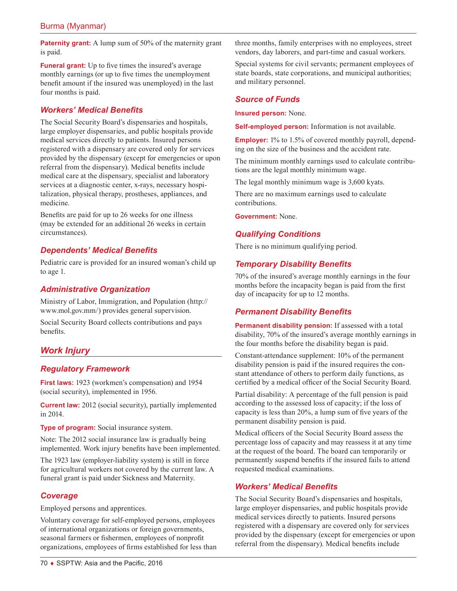**Paternity grant:** A lump sum of 50% of the maternity grant is paid.

**Funeral grant:** Up to five times the insured's average monthly earnings (or up to five times the unemployment benefit amount if the insured was unemployed) in the last four months is paid.

## *Workers' Medical Benefits*

The Social Security Board's dispensaries and hospitals, large employer dispensaries, and public hospitals provide medical services directly to patients. Insured persons registered with a dispensary are covered only for services provided by the dispensary (except for emergencies or upon referral from the dispensary). Medical benefits include medical care at the dispensary, specialist and laboratory services at a diagnostic center, x-rays, necessary hospitalization, physical therapy, prostheses, appliances, and medicine.

Benefits are paid for up to 26 weeks for one illness (may be extended for an additional 26 weeks in certain circumstances).

# *Dependents' Medical Benefits*

Pediatric care is provided for an insured woman's child up to age 1.

# *Administrative Organization*

Ministry of Labor, Immigration, and Population ([http://](http://www.mol.gov.mm/) [www.mol.gov.mm/](http://www.mol.gov.mm/)) provides general supervision.

Social Security Board collects contributions and pays benefits.

# *Work Injury*

## *Regulatory Framework*

**First laws:** 1923 (workmen's compensation) and 1954 (social security), implemented in 1956.

**Current law:** 2012 (social security), partially implemented in 2014.

**Type of program:** Social insurance system.

Note: The 2012 social insurance law is gradually being implemented. Work injury benefits have been implemented.

The 1923 law (employer-liability system) is still in force for agricultural workers not covered by the current law. A funeral grant is paid under Sickness and Maternity.

## *Coverage*

Employed persons and apprentices.

Voluntary coverage for self-employed persons, employees of international organizations or foreign governments, seasonal farmers or fishermen, employees of nonprofit organizations, employees of firms established for less than three months, family enterprises with no employees, street vendors, day laborers, and part-time and casual workers.

Special systems for civil servants; permanent employees of state boards, state corporations, and municipal authorities; and military personnel.

#### *Source of Funds*

**Insured person:** None.

**Self-employed person:** Information is not available.

**Employer:** 1% to 1.5% of covered monthly payroll, depending on the size of the business and the accident rate.

The minimum monthly earnings used to calculate contributions are the legal monthly minimum wage.

The legal monthly minimum wage is 3,600 kyats.

There are no maximum earnings used to calculate contributions.

**Government:** None.

## *Qualifying Conditions*

There is no minimum qualifying period.

# *Temporary Disability Benefits*

70% of the insured's average monthly earnings in the four months before the incapacity began is paid from the first day of incapacity for up to 12 months.

# *Permanent Disability Benefits*

**Permanent disability pension:** If assessed with a total disability, 70% of the insured's average monthly earnings in the four months before the disability began is paid.

Constant-attendance supplement: 10% of the permanent disability pension is paid if the insured requires the constant attendance of others to perform daily functions, as certified by a medical officer of the Social Security Board.

Partial disability: A percentage of the full pension is paid according to the assessed loss of capacity; if the loss of capacity is less than 20%, a lump sum of five years of the permanent disability pension is paid.

Medical officers of the Social Security Board assess the percentage loss of capacity and may reassess it at any time at the request of the board. The board can temporarily or permanently suspend benefits if the insured fails to attend requested medical examinations.

## *Workers' Medical Benefits*

The Social Security Board's dispensaries and hospitals, large employer dispensaries, and public hospitals provide medical services directly to patients. Insured persons registered with a dispensary are covered only for services provided by the dispensary (except for emergencies or upon referral from the dispensary). Medical benefits include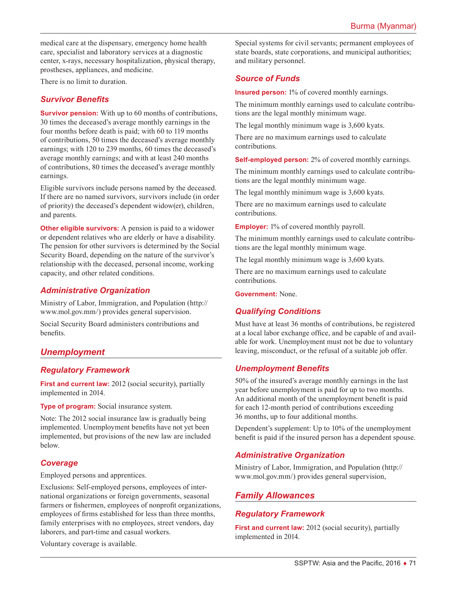medical care at the dispensary, emergency home health care, specialist and laboratory services at a diagnostic center, x-rays, necessary hospitalization, physical therapy, prostheses, appliances, and medicine.

There is no limit to duration.

#### *Survivor Benefits*

**Survivor pension:** With up to 60 months of contributions, 30 times the deceased's average monthly earnings in the four months before death is paid; with 60 to 119 months of contributions, 50 times the deceased's average monthly earnings; with 120 to 239 months, 60 times the deceased's average monthly earnings; and with at least 240 months of contributions, 80 times the deceased's average monthly earnings.

Eligible survivors include persons named by the deceased. If there are no named survivors, survivors include (in order of priority) the deceased's dependent widow(er), children, and parents.

**Other eligible survivors:** A pension is paid to a widower or dependent relatives who are elderly or have a disability. The pension for other survivors is determined by the Social Security Board, depending on the nature of the survivor's relationship with the deceased, personal income, working capacity, and other related conditions.

#### *Administrative Organization*

Ministry of Labor, Immigration, and Population ([http://](http://www.mol.gov.mm) [www.mol.gov.mm/](http://www.mol.gov.mm)) provides general supervision.

Social Security Board administers contributions and benefits.

# *Unemployment*

#### *Regulatory Framework*

**First and current law:** 2012 (social security), partially implemented in 2014.

**Type of program:** Social insurance system.

Note: The 2012 social insurance law is gradually being implemented. Unemployment benefits have not yet been implemented, but provisions of the new law are included below.

#### *Coverage*

Employed persons and apprentices.

Exclusions: Self-employed persons, employees of international organizations or foreign governments, seasonal farmers or fishermen, employees of nonprofit organizations, employees of firms established for less than three months, family enterprises with no employees, street vendors, day laborers, and part-time and casual workers.

Voluntary coverage is available.

Special systems for civil servants; permanent employees of state boards, state corporations, and municipal authorities; and military personnel.

# *Source of Funds*

**Insured person:** 1% of covered monthly earnings.

The minimum monthly earnings used to calculate contributions are the legal monthly minimum wage.

The legal monthly minimum wage is 3,600 kyats.

There are no maximum earnings used to calculate contributions.

**Self-employed person:** 2% of covered monthly earnings.

The minimum monthly earnings used to calculate contributions are the legal monthly minimum wage.

The legal monthly minimum wage is 3,600 kyats.

There are no maximum earnings used to calculate contributions.

**Employer:** 1% of covered monthly payroll.

The minimum monthly earnings used to calculate contributions are the legal monthly minimum wage.

The legal monthly minimum wage is 3,600 kyats.

There are no maximum earnings used to calculate contributions.

**Government:** None.

# *Qualifying Conditions*

Must have at least 36 months of contributions, be registered at a local labor exchange office, and be capable of and available for work. Unemployment must not be due to voluntary leaving, misconduct, or the refusal of a suitable job offer.

#### *Unemployment Benefits*

50% of the insured's average monthly earnings in the last year before unemployment is paid for up to two months. An additional month of the unemployment benefit is paid for each 12-month period of contributions exceeding 36 months, up to four additional months.

Dependent's supplement: Up to 10% of the unemployment benefit is paid if the insured person has a dependent spouse.

## *Administrative Organization*

Ministry of Labor, Immigration, and Population ([http://](http://www.mol.gov.mm/) [www.mol.gov.mm/](http://www.mol.gov.mm/)) provides general supervision,

## *Family Allowances*

## *Regulatory Framework*

**First and current law:** 2012 (social security), partially implemented in 2014.